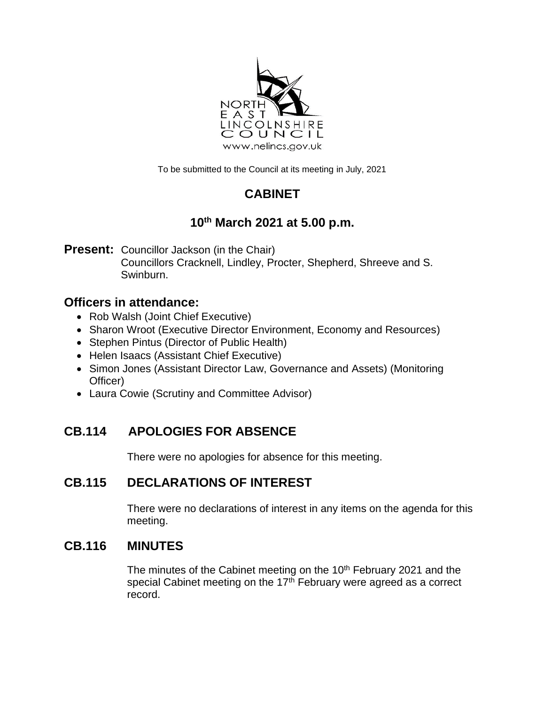

To be submitted to the Council at its meeting in July, 2021

# **CABINET**

# **10 th March 2021 at 5.00 p.m.**

**Present:** Councillor Jackson (in the Chair) Councillors Cracknell, Lindley, Procter, Shepherd, Shreeve and S. Swinburn.

## **Officers in attendance:**

- Rob Walsh (Joint Chief Executive)
- Sharon Wroot (Executive Director Environment, Economy and Resources)
- Stephen Pintus (Director of Public Health)
- Helen Isaacs (Assistant Chief Executive)
- Simon Jones (Assistant Director Law, Governance and Assets) (Monitoring Officer)
- Laura Cowie (Scrutiny and Committee Advisor)

# **CB.114 APOLOGIES FOR ABSENCE**

There were no apologies for absence for this meeting.

## **CB.115 DECLARATIONS OF INTEREST**

There were no declarations of interest in any items on the agenda for this meeting.

### **CB.116 MINUTES**

The minutes of the Cabinet meeting on the 10<sup>th</sup> February 2021 and the special Cabinet meeting on the  $17<sup>th</sup>$  February were agreed as a correct record.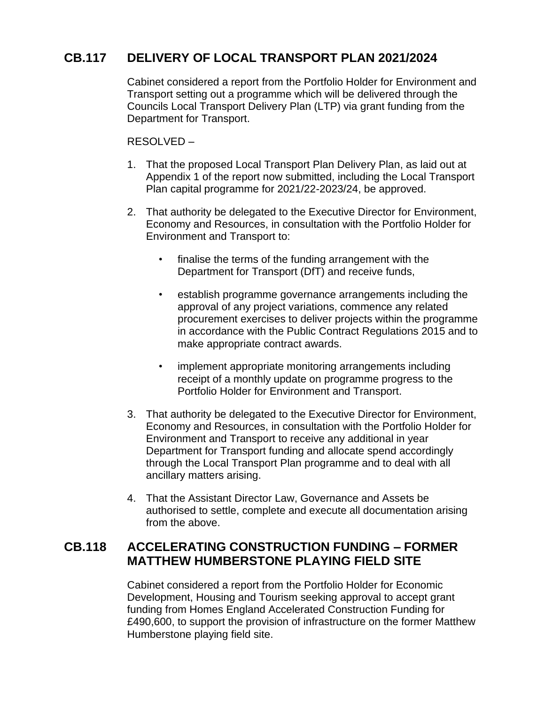### **CB.117 DELIVERY OF LOCAL TRANSPORT PLAN 2021/2024**

Cabinet considered a report from the Portfolio Holder for Environment and Transport setting out a programme which will be delivered through the Councils Local Transport Delivery Plan (LTP) via grant funding from the Department for Transport.

RESOLVED –

- 1. That the proposed Local Transport Plan Delivery Plan, as laid out at Appendix 1 of the report now submitted, including the Local Transport Plan capital programme for 2021/22-2023/24, be approved.
- 2. That authority be delegated to the Executive Director for Environment, Economy and Resources, in consultation with the Portfolio Holder for Environment and Transport to:
	- finalise the terms of the funding arrangement with the Department for Transport (DfT) and receive funds,
	- establish programme governance arrangements including the approval of any project variations, commence any related procurement exercises to deliver projects within the programme in accordance with the Public Contract Regulations 2015 and to make appropriate contract awards.
	- implement appropriate monitoring arrangements including receipt of a monthly update on programme progress to the Portfolio Holder for Environment and Transport.
- 3. That authority be delegated to the Executive Director for Environment, Economy and Resources, in consultation with the Portfolio Holder for Environment and Transport to receive any additional in year Department for Transport funding and allocate spend accordingly through the Local Transport Plan programme and to deal with all ancillary matters arising.
- 4. That the Assistant Director Law, Governance and Assets be authorised to settle, complete and execute all documentation arising from the above.

### **CB.118 ACCELERATING CONSTRUCTION FUNDING – FORMER MATTHEW HUMBERSTONE PLAYING FIELD SITE**

Cabinet considered a report from the Portfolio Holder for Economic Development, Housing and Tourism seeking approval to accept grant funding from Homes England Accelerated Construction Funding for £490,600, to support the provision of infrastructure on the former Matthew Humberstone playing field site.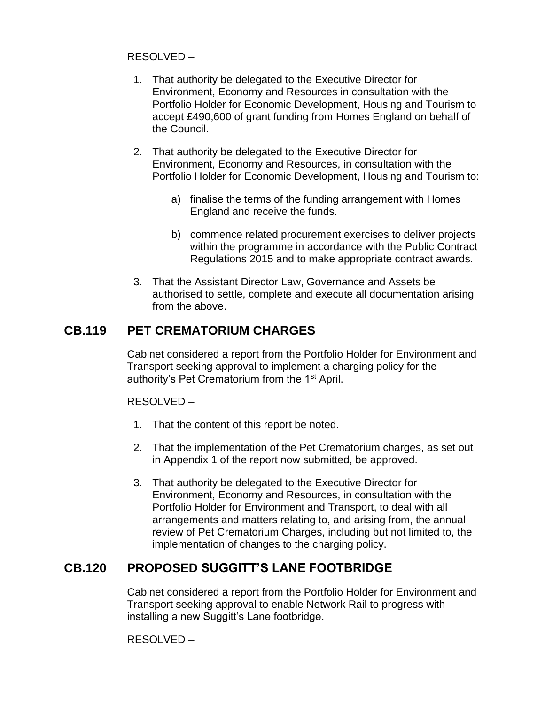#### RESOLVED –

- 1. That authority be delegated to the Executive Director for Environment, Economy and Resources in consultation with the Portfolio Holder for Economic Development, Housing and Tourism to accept £490,600 of grant funding from Homes England on behalf of the Council.
- 2. That authority be delegated to the Executive Director for Environment, Economy and Resources, in consultation with the Portfolio Holder for Economic Development, Housing and Tourism to:
	- a) finalise the terms of the funding arrangement with Homes England and receive the funds.
	- b) commence related procurement exercises to deliver projects within the programme in accordance with the Public Contract Regulations 2015 and to make appropriate contract awards.
- 3. That the Assistant Director Law, Governance and Assets be authorised to settle, complete and execute all documentation arising from the above.

#### **CB.119 PET CREMATORIUM CHARGES**

Cabinet considered a report from the Portfolio Holder for Environment and Transport seeking approval to implement a charging policy for the authority's Pet Crematorium from the 1<sup>st</sup> April.

#### RESOLVED –

- 1. That the content of this report be noted.
- 2. That the implementation of the Pet Crematorium charges, as set out in Appendix 1 of the report now submitted, be approved.
- 3. That authority be delegated to the Executive Director for Environment, Economy and Resources, in consultation with the Portfolio Holder for Environment and Transport, to deal with all arrangements and matters relating to, and arising from, the annual review of Pet Crematorium Charges, including but not limited to, the implementation of changes to the charging policy.

### **CB.120 PROPOSED SUGGITT'S LANE FOOTBRIDGE**

Cabinet considered a report from the Portfolio Holder for Environment and Transport seeking approval to enable Network Rail to progress with installing a new Suggitt's Lane footbridge.

RESOLVED –